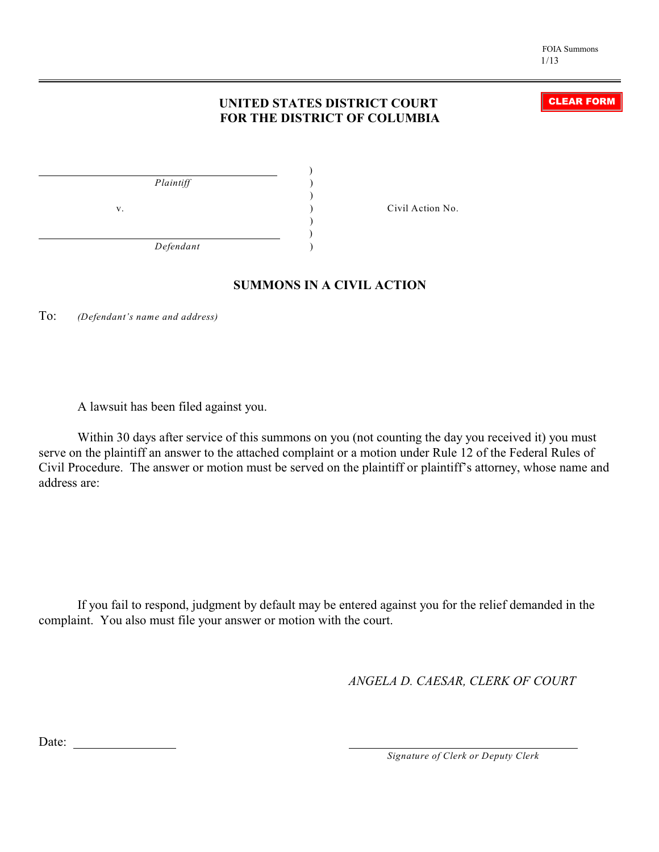CLEAR FORM

## **UNITED STATES DISTRICT COURT FOR THE DISTRICT OF COLUMBIA**

| Plaintiff |    |  |
|-----------|----|--|
|           |    |  |
|           | V. |  |
|           |    |  |
| Defendant |    |  |

Civil Action No.

## **SUMMONS IN A CIVIL ACTION**

To: *(Defendant's name and address)*

A lawsuit has been filed against you.

Within 30 days after service of this summons on you (not counting the day you received it) you must serve on the plaintiff an answer to the attached complaint or a motion under Rule 12 of the Federal Rules of Civil Procedure. The answer or motion must be served on the plaintiff or plaintiff's attorney, whose name and address are:

If you fail to respond, judgment by default may be entered against you for the relief demanded in the complaint. You also must file your answer or motion with the court.

*ANGELA D. CAESAR, CLERK OF COURT*

Date:

*Signature of Clerk or Deputy Clerk*